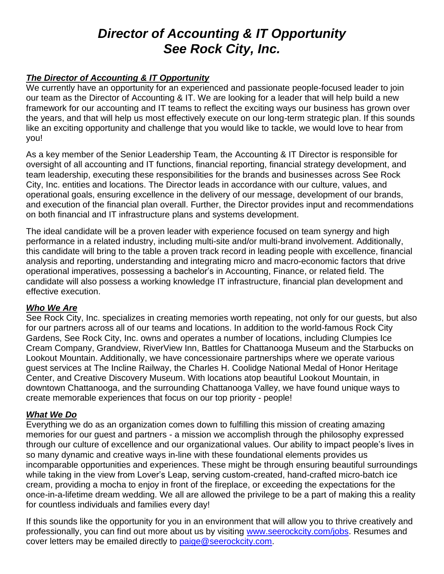# *Director of Accounting & IT Opportunity See Rock City, Inc.*

### *The Director of Accounting & IT Opportunity*

We currently have an opportunity for an experienced and passionate people-focused leader to join our team as the Director of Accounting & IT. We are looking for a leader that will help build a new framework for our accounting and IT teams to reflect the exciting ways our business has grown over the years, and that will help us most effectively execute on our long-term strategic plan. If this sounds like an exciting opportunity and challenge that you would like to tackle, we would love to hear from you!

As a key member of the Senior Leadership Team, the Accounting & IT Director is responsible for oversight of all accounting and IT functions, financial reporting, financial strategy development, and team leadership, executing these responsibilities for the brands and businesses across See Rock City, Inc. entities and locations. The Director leads in accordance with our culture, values, and operational goals, ensuring excellence in the delivery of our message, development of our brands, and execution of the financial plan overall. Further, the Director provides input and recommendations on both financial and IT infrastructure plans and systems development.

The ideal candidate will be a proven leader with experience focused on team synergy and high performance in a related industry, including multi-site and/or multi-brand involvement. Additionally, this candidate will bring to the table a proven track record in leading people with excellence, financial analysis and reporting, understanding and integrating micro and macro-economic factors that drive operational imperatives, possessing a bachelor's in Accounting, Finance, or related field. The candidate will also possess a working knowledge IT infrastructure, financial plan development and effective execution.

### *Who We Are*

See Rock City, Inc. specializes in creating memories worth repeating, not only for our guests, but also for our partners across all of our teams and locations. In addition to the world-famous Rock City Gardens, See Rock City, Inc. owns and operates a number of locations, including Clumpies Ice Cream Company, Grandview, RiverView Inn, Battles for Chattanooga Museum and the Starbucks on Lookout Mountain. Additionally, we have concessionaire partnerships where we operate various guest services at The Incline Railway, the Charles H. Coolidge National Medal of Honor Heritage Center, and Creative Discovery Museum. With locations atop beautiful Lookout Mountain, in downtown Chattanooga, and the surrounding Chattanooga Valley, we have found unique ways to create memorable experiences that focus on our top priority - people!

### *What We Do*

Everything we do as an organization comes down to fulfilling this mission of creating amazing memories for our guest and partners - a mission we accomplish through the philosophy expressed through our culture of excellence and our organizational values. Our ability to impact people's lives in so many dynamic and creative ways in-line with these foundational elements provides us incomparable opportunities and experiences. These might be through ensuring beautiful surroundings while taking in the view from Lover's Leap, serving custom-created, hand-crafted micro-batch ice cream, providing a mocha to enjoy in front of the fireplace, or exceeding the expectations for the once-in-a-lifetime dream wedding. We all are allowed the privilege to be a part of making this a reality for countless individuals and families every day!

If this sounds like the opportunity for you in an environment that will allow you to thrive creatively and professionally, you can find out more about us by visiting [www.seerockcity.com/jobs.](http://www.seerockcity.com/jobs) Resumes and cover letters may be emailed directly to [paige@seerockcity.com.](mailto:paige@seerockcity.com)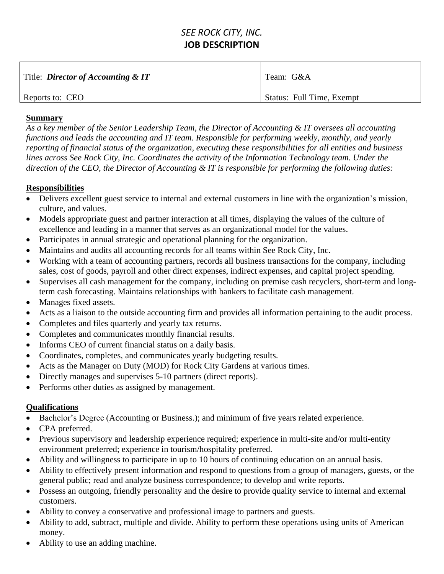## *SEE ROCK CITY, INC.* **JOB DESCRIPTION**

| Title: <i>Director of Accounting &amp; IT</i> | Team: G&A                 |
|-----------------------------------------------|---------------------------|
| Reports to: CEO                               | Status: Full Time, Exempt |

#### **Summary**

*As a key member of the Senior Leadership Team, the Director of Accounting & IT oversees all accounting functions and leads the accounting and IT team. Responsible for performing weekly, monthly, and yearly reporting of financial status of the organization, executing these responsibilities for all entities and business lines across See Rock City, Inc. Coordinates the activity of the Information Technology team. Under the direction of the CEO, the Director of Accounting & IT is responsible for performing the following duties:*

### **Responsibilities**

- Delivers excellent guest service to internal and external customers in line with the organization's mission, culture, and values.
- Models appropriate guest and partner interaction at all times, displaying the values of the culture of excellence and leading in a manner that serves as an organizational model for the values.
- Participates in annual strategic and operational planning for the organization.
- Maintains and audits all accounting records for all teams within See Rock City, Inc.
- Working with a team of accounting partners, records all business transactions for the company, including sales, cost of goods, payroll and other direct expenses, indirect expenses, and capital project spending.
- Supervises all cash management for the company, including on premise cash recyclers, short-term and longterm cash forecasting. Maintains relationships with bankers to facilitate cash management.
- Manages fixed assets.
- Acts as a liaison to the outside accounting firm and provides all information pertaining to the audit process.
- Completes and files quarterly and yearly tax returns.
- Completes and communicates monthly financial results.
- Informs CEO of current financial status on a daily basis.
- Coordinates, completes, and communicates yearly budgeting results.
- Acts as the Manager on Duty (MOD) for Rock City Gardens at various times.
- Directly manages and supervises 5-10 partners (direct reports).
- Performs other duties as assigned by management.

### **Qualifications**

- Bachelor's Degree (Accounting or Business.); and minimum of five years related experience.
- CPA preferred.
- Previous supervisory and leadership experience required; experience in multi-site and/or multi-entity environment preferred; experience in tourism/hospitality preferred.
- Ability and willingness to participate in up to 10 hours of continuing education on an annual basis.
- Ability to effectively present information and respond to questions from a group of managers, guests, or the general public; read and analyze business correspondence; to develop and write reports.
- Possess an outgoing, friendly personality and the desire to provide quality service to internal and external customers.
- Ability to convey a conservative and professional image to partners and guests.
- Ability to add, subtract, multiple and divide. Ability to perform these operations using units of American money.
- Ability to use an adding machine.